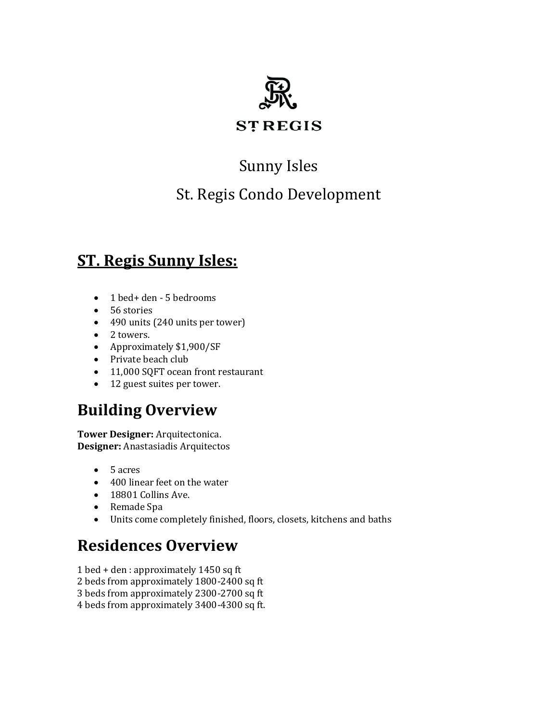

## Sunny Isles

#### St. Regis Condo Development

#### **ST. Regis Sunny Isles:**

- 1 bed+ den 5 bedrooms
- 56 stories
- 490 units (240 units per tower)
- 2 towers.
- Approximately \$1,900/SF
- Private beach club
- 11,000 SOFT ocean front restaurant
- 12 guest suites per tower.

#### **Building Overview**

**Tower Designer:** [Arquitectonica.](https://arquitectonica.com/) **Designer:** Anastasiadis Arquitectos

- 5 acres
- 400 linear feet on the water
- 18801 Collins Ave.
- Remade Spa
- Units come completely finished, floors, closets, kitchens and baths

#### **Residences Overview**

- 1 bed + den : approximately 1450 sq ft
- 2 beds from approximately 1800-2400 sq ft
- 3 beds from approximately 2300-2700 sq ft
- 4 beds from approximately 3400-4300 sq ft.